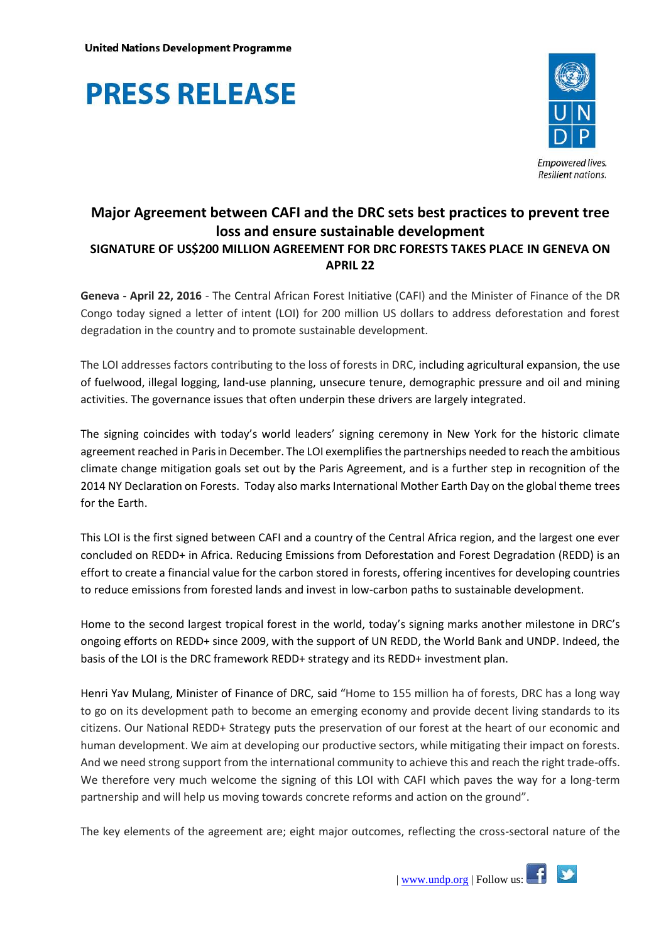



## **Major Agreement between CAFI and the DRC sets best practices to prevent tree loss and ensure sustainable development SIGNATURE OF US\$200 MILLION AGREEMENT FOR DRC FORESTS TAKES PLACE IN GENEVA ON APRIL 22**

**Geneva - April 22, 2016** - The Central African Forest Initiative (CAFI) and the Minister of Finance of the DR Congo today signed a letter of intent (LOI) for 200 million US dollars to address deforestation and forest degradation in the country and to promote sustainable development.

The LOI addresses factors contributing to the loss of forests in DRC, including agricultural expansion, the use of fuelwood, illegal logging, land-use planning, unsecure tenure, demographic pressure and oil and mining activities. The governance issues that often underpin these drivers are largely integrated.

The signing coincides with today's world leaders' signing ceremony in New York for the historic climate agreement reached in Paris in December. The LOI exemplifies the partnerships needed to reach the ambitious climate change mitigation goals set out by the Paris Agreement, and is a further step in recognition of the 2014 NY Declaration on Forests. Today also marks International Mother Earth Day on the global theme trees for the Earth.

This LOI is the first signed between CAFI and a country of the Central Africa region, and the largest one ever concluded on REDD+ in Africa. Reducing Emissions from Deforestation and Forest Degradation (REDD) is an effort to create a financial value for the carbon stored in forests, offering incentives for developing countries to reduce emissions from forested lands and invest in low-carbon paths to sustainable development.

Home to the second largest tropical forest in the world, today's signing marks another milestone in DRC's ongoing efforts on REDD+ since 2009, with the support of UN REDD, the World Bank and UNDP. Indeed, the basis of the LOI is the DRC framework REDD+ strategy and its REDD+ investment plan.

Henri Yav Mulang, Minister of Finance of DRC, said "Home to 155 million ha of forests, DRC has a long way to go on its development path to become an emerging economy and provide decent living standards to its citizens. Our National REDD+ Strategy puts the preservation of our forest at the heart of our economic and human development. We aim at developing our productive sectors, while mitigating their impact on forests. And we need strong support from the international community to achieve this and reach the right trade-offs. We therefore very much welcome the signing of this LOI with CAFI which paves the way for a long-term partnership and will help us moving towards concrete reforms and action on the ground".

The key elements of the agreement are; eight major outcomes, reflecting the cross-sectoral nature of the